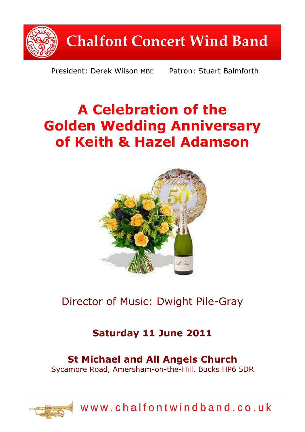

President: Derek Wilson MBE Patron: Stuart Balmforth

# **A Celebration of the Golden Wedding Anniversary of Keith & Hazel Adamson**



Director of Music: Dwight Pile-Gray

## **Saturday 11 June 2011**

## **St Michael and All Angels Church**

Sycamore Road, Amersham-on-the-Hill, Bucks HP6 5DR



w w w . c h a l f o n t w i n d b a n d . c o . u k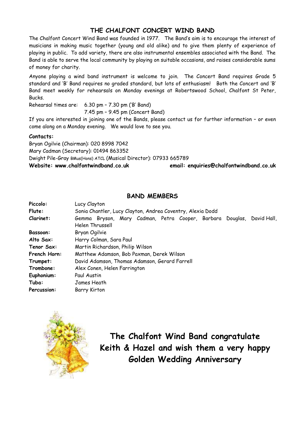### **THE CHALFONT CONCERT WIND BAND**

The Chalfont Concert Wind Band was founded in 1977. The Band's aim is to encourage the interest of musicians in making music together (young and old alike) and to give them plenty of experience of playing in public. To add variety, there are also instrumental ensembles associated with the Band. The Band is able to serve the local community by playing on suitable occasions, and raises considerable sums of money for charity.

Anyone playing a wind band instrument is welcome to join. The Concert Band requires Grade 5 standard and 'B' Band requires no graded standard, but lots of enthusiasm! Both the Concert and 'B' Band meet weekly for rehearsals on Monday evenings at Robertswood School, Chalfont St Peter, Bucks.

Rehearsal times are: 6.30 pm – 7.30 pm ('B' Band)

7.45 pm – 9.45 pm (Concert Band)

If you are interested in joining one of the Bands, please contact us for further information – or even come along on a Monday evening. We would love to see you.

#### **Contacts:**

Bryan Ogilvie (Chairman): 020 8998 7042 Mary Cadman (Secretary): 01494 863352 Dwight Pile-Gray BMus(Hons) ATCL (Musical Director): 07933 665789 **Website: www.chalfontwindband.co.uk email: enquiries@chalfontwindband.co.uk** 

#### **BAND MEMBERS**

| Piccolo:        | Lucy Clayton                                                                             |
|-----------------|------------------------------------------------------------------------------------------|
| Flute:          | Sonia Chantler, Lucy Clayton, Andrea Coventry, Alexia Dodd                               |
| Clarinet:       | Gemma Bryson, Mary Cadman, Petra Cooper, Barbara Douglas, David Hall,<br>Helen Thrussell |
| <b>Bassoon:</b> | Bryan Ogilvie                                                                            |
| Alto Sax:       | Harry Colman, Sara Paul                                                                  |
| Tenor Sax:      | Martin Richardson, Philip Wilson                                                         |
| French Horn:    | Matthew Adamson, Bob Paxman, Derek Wilson                                                |
| Trumpet:        | David Adamson, Thomas Adamson, Gerard Farrell                                            |
| Trombone:       | Alex Conen, Helen Farrington                                                             |
| Euphonium:      | Paul Austin                                                                              |
| Tuba:           | James Heath                                                                              |
| Percussion:     | Barry Kirton                                                                             |



**The Chalfont Wind Band congratulate Keith & Hazel and wish them a very happy Golden Wedding Anniversary**